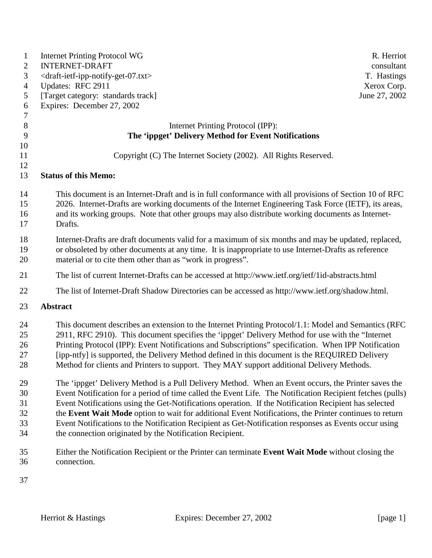| $\mathbf{1}$   | <b>Internet Printing Protocol WG</b>                                                                      | R. Herriot    |
|----------------|-----------------------------------------------------------------------------------------------------------|---------------|
| $\overline{2}$ | <b>INTERNET-DRAFT</b>                                                                                     | consultant    |
| 3              | <draft-ietf-ipp-notify-get-07.txt></draft-ietf-ipp-notify-get-07.txt>                                     | T. Hastings   |
| $\overline{4}$ | Updates: RFC 2911                                                                                         | Xerox Corp.   |
| 5              | [Target category: standards track]                                                                        | June 27, 2002 |
| 6              | Expires: December 27, 2002                                                                                |               |
| 7              |                                                                                                           |               |
| 8              | Internet Printing Protocol (IPP):                                                                         |               |
| 9              | The 'ippget' Delivery Method for Event Notifications                                                      |               |
| 10             |                                                                                                           |               |
| 11             | Copyright (C) The Internet Society (2002). All Rights Reserved.                                           |               |
| 12             |                                                                                                           |               |
| 13             | <b>Status of this Memo:</b>                                                                               |               |
| 14             | This document is an Internet-Draft and is in full conformance with all provisions of Section 10 of RFC    |               |
| 15             | 2026. Internet-Drafts are working documents of the Internet Engineering Task Force (IETF), its areas,     |               |
| 16             | and its working groups. Note that other groups may also distribute working documents as Internet-         |               |
| 17             | Drafts.                                                                                                   |               |
|                |                                                                                                           |               |
| 18<br>19       | Internet-Drafts are draft documents valid for a maximum of six months and may be updated, replaced,       |               |
|                | or obsoleted by other documents at any time. It is inappropriate to use Internet-Drafts as reference      |               |
| 20             | material or to cite them other than as "work in progress".                                                |               |
| 21             | The list of current Internet-Drafts can be accessed at http://www.ietf.org/ietf/1id-abstracts.html        |               |
| 22             | The list of Internet-Draft Shadow Directories can be accessed as http://www.ietf.org/shadow.html.         |               |
| 23             | <b>Abstract</b>                                                                                           |               |
| 24             | This document describes an extension to the Internet Printing Protocol/1.1: Model and Semantics (RFC      |               |
| 25             | 2911, RFC 2910). This document specifies the 'ippget' Delivery Method for use with the "Internet"         |               |
| 26             | Printing Protocol (IPP): Event Notifications and Subscriptions" specification. When IPP Notification      |               |
| 27             | [ipp-ntfy] is supported, the Delivery Method defined in this document is the REQUIRED Delivery            |               |
| 28             | Method for clients and Printers to support. They MAY support additional Delivery Methods.                 |               |
|                |                                                                                                           |               |
| 29             | The 'ippget' Delivery Method is a Pull Delivery Method. When an Event occurs, the Printer saves the       |               |
| 30             | Event Notification for a period of time called the Event Life. The Notification Recipient fetches (pulls) |               |
| 31             | Event Notifications using the Get-Notifications operation. If the Notification Recipient has selected     |               |
| 32             | the Event Wait Mode option to wait for additional Event Notifications, the Printer continues to return    |               |
| 33             | Event Notifications to the Notification Recipient as Get-Notification responses as Events occur using     |               |
| 34             | the connection originated by the Notification Recipient.                                                  |               |
| 35             | Either the Notification Recipient or the Printer can terminate Event Wait Mode without closing the        |               |
| 36             | connection.                                                                                               |               |
|                |                                                                                                           |               |
| $\overline{ }$ |                                                                                                           |               |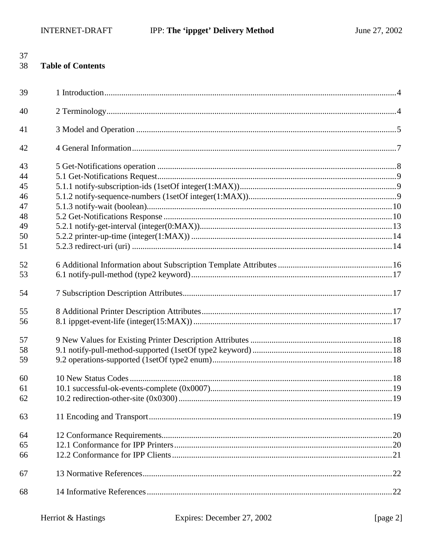| 38 | <b>Table of Contents</b> |  |
|----|--------------------------|--|
| 39 |                          |  |
| 40 |                          |  |
| 41 |                          |  |
| 42 |                          |  |
| 43 |                          |  |
| 44 |                          |  |
| 45 |                          |  |
| 46 |                          |  |
| 47 |                          |  |
| 48 |                          |  |
| 49 |                          |  |
| 50 |                          |  |
| 51 |                          |  |
| 52 |                          |  |
| 53 |                          |  |
| 54 |                          |  |
| 55 |                          |  |
| 56 |                          |  |
| 57 |                          |  |
| 58 |                          |  |
| 59 |                          |  |
| 60 |                          |  |
| 61 |                          |  |
| 62 |                          |  |
| 63 |                          |  |
| 64 |                          |  |
| 65 |                          |  |
| 66 |                          |  |
| 67 |                          |  |
| 68 |                          |  |
|    |                          |  |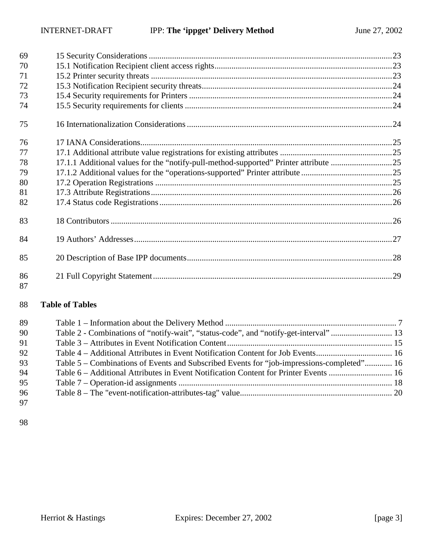| 69       |                                                                                      |  |
|----------|--------------------------------------------------------------------------------------|--|
| 70       |                                                                                      |  |
| 71       |                                                                                      |  |
| 72       |                                                                                      |  |
| 73       |                                                                                      |  |
| 74       |                                                                                      |  |
| 75       |                                                                                      |  |
| 76       |                                                                                      |  |
| 77       |                                                                                      |  |
| 78       | 17.1.1 Additional values for the "notify-pull-method-supported" Printer attribute 25 |  |
| 79       |                                                                                      |  |
| 80       |                                                                                      |  |
| 81       |                                                                                      |  |
| 82       |                                                                                      |  |
| 83       |                                                                                      |  |
| 84       |                                                                                      |  |
| 85       |                                                                                      |  |
| 86<br>87 |                                                                                      |  |

## **Table of Tables**

| 89 |                                                                                           |  |
|----|-------------------------------------------------------------------------------------------|--|
| 90 |                                                                                           |  |
| 91 |                                                                                           |  |
| 92 |                                                                                           |  |
| 93 | Table 5 – Combinations of Events and Subscribed Events for "job-impressions-completed" 16 |  |
| 94 |                                                                                           |  |
| 95 |                                                                                           |  |
| 96 |                                                                                           |  |
| 97 |                                                                                           |  |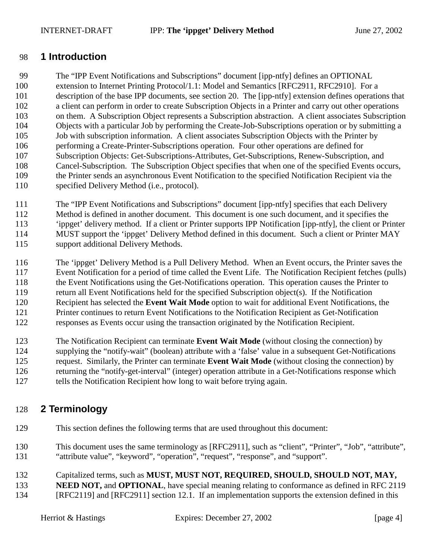## <span id="page-3-0"></span>98 **1 Introduction**

99 The "IPP Event Notifications and Subscriptions" document [ipp-ntfy] defines an OPTIONAL 100 extension to Internet Printing Protocol/1.1: Model and Semantics [RFC2911, RFC2910]. For a 101 description of the base IPP documents, see section [20.](#page-27-0) The [ipp-ntfy] extension defines operations that 102 a client can perform in order to create Subscription Objects in a Printer and carry out other operations 103 on them. A Subscription Object represents a Subscription abstraction. A client associates Subscription 104 Objects with a particular Job by performing the Create-Job-Subscriptions operation or by submitting a 105 Job with subscription information. A client associates Subscription Objects with the Printer by 106 performing a Create-Printer-Subscriptions operation. Four other operations are defined for 107 Subscription Objects: Get-Subscriptions-Attributes, Get-Subscriptions, Renew-Subscription, and 108 Cancel-Subscription. The Subscription Object specifies that when one of the specified Events occurs, 109 the Printer sends an asynchronous Event Notification to the specified Notification Recipient via the 110 specified Delivery Method (i.e., protocol).

111 The "IPP Event Notifications and Subscriptions" document [ipp-ntfy] specifies that each Delivery 112 Method is defined in another document. This document is one such document, and it specifies the 113 'ippget' delivery method. If a client or Printer supports IPP Notification [ipp-ntfy], the client or Printer 114 MUST support the 'ippget' Delivery Method defined in this document. Such a client or Printer MAY 115 support additional Delivery Methods.

116 The 'ippget' Delivery Method is a Pull Delivery Method. When an Event occurs, the Printer saves the 117 Event Notification for a period of time called the Event Life. The Notification Recipient fetches (pulls) 118 the Event Notifications using the Get-Notifications operation. This operation causes the Printer to 119 return all Event Notifications held for the specified Subscription object(s). If the Notification 120 Recipient has selected the **Event Wait Mode** option to wait for additional Event Notifications, the 121 Printer continues to return Event Notifications to the Notification Recipient as Get-Notification 122 responses as Events occur using the transaction originated by the Notification Recipient.

123 The Notification Recipient can terminate **Event Wait Mode** (without closing the connection) by 124 supplying the "notify-wait" (boolean) attribute with a 'false' value in a subsequent Get-Notifications 125 request. Similarly, the Printer can terminate **Event Wait Mode** (without closing the connection) by 126 returning the "notify-get-interval" (integer) operation attribute in a Get-Notifications response which 127 tells the Notification Recipient how long to wait before trying again.

# 128 **2 Terminology**

- 129 This section defines the following terms that are used throughout this document:
- 130 This document uses the same terminology as [RFC2911], such as "client", "Printer", "Job", "attribute", 131 "attribute value", "keyword", "operation", "request", "response", and "support".
- 132 Capitalized terms, such as **MUST, MUST NOT, REQUIRED, SHOULD, SHOULD NOT, MAY,**
- **NEED NOT, and OPTIONAL**, have special meaning relating to conformance as defined in RFC 2119 134 [RFC2119] and [RFC2911] section 12.1. If an implementation supports the extension defined in this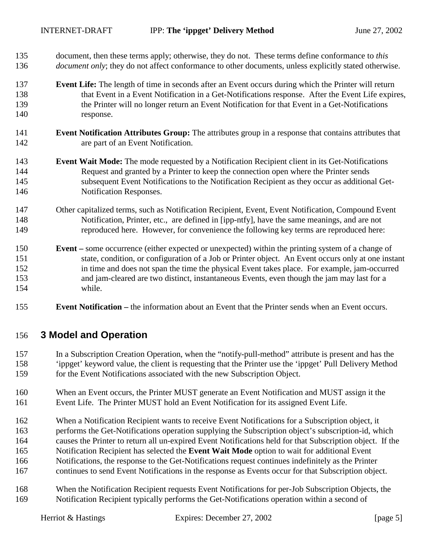- <span id="page-4-0"></span>135 document, then these terms apply; otherwise, they do not. These terms define conformance to *this*  136 *document only*; they do not affect conformance to other documents, unless explicitly stated otherwise.
- 137 **Event Life:** The length of time in seconds after an Event occurs during which the Printer will return 138 that Event in a Event Notification in a Get-Notifications response. After the Event Life expires, 139 the Printer will no longer return an Event Notification for that Event in a Get-Notifications 140 response.
- 141 **Event Notification Attributes Group:** The attributes group in a response that contains attributes that 142 are part of an Event Notification.
- 143 **Event Wait Mode:** The mode requested by a Notification Recipient client in its Get-Notifications 144 Request and granted by a Printer to keep the connection open where the Printer sends 145 subsequent Event Notifications to the Notification Recipient as they occur as additional Get-146 Notification Responses.
- 147 Other capitalized terms, such as Notification Recipient, Event, Event Notification, Compound Event 148 Notification, Printer, etc., are defined in [ipp-ntfy], have the same meanings, and are not 149 reproduced here. However, for convenience the following key terms are reproduced here:
- 150 **Event** some occurrence (either expected or unexpected) within the printing system of a change of 151 state, condition, or configuration of a Job or Printer object. An Event occurs only at one instant 152 in time and does not span the time the physical Event takes place. For example, jam-occurred 153 and jam-cleared are two distinct, instantaneous Events, even though the jam may last for a 154 while.
- 155 **Event Notification** the information about an Event that the Printer sends when an Event occurs.

## 156 **3 Model and Operation**

- 157 In a Subscription Creation Operation, when the "notify-pull-method" attribute is present and has the 158 'ippget' keyword value, the client is requesting that the Printer use the 'ippget' Pull Delivery Method 159 for the Event Notifications associated with the new Subscription Object.
- 160 When an Event occurs, the Printer MUST generate an Event Notification and MUST assign it the 161 Event Life. The Printer MUST hold an Event Notification for its assigned Event Life.
- 162 When a Notification Recipient wants to receive Event Notifications for a Subscription object, it
- 163 performs the Get-Notifications operation supplying the Subscription object's subscription-id, which
- 164 causes the Printer to return all un-expired Event Notifications held for that Subscription object. If the
- 165 Notification Recipient has selected the **Event Wait Mode** option to wait for additional Event
- 166 Notifications, the response to the Get-Notifications request continues indefinitely as the Printer
- 167 continues to send Event Notifications in the response as Events occur for that Subscription object.
- 168 When the Notification Recipient requests Event Notifications for per-Job Subscription Objects, the 169 Notification Recipient typically performs the Get-Notifications operation within a second of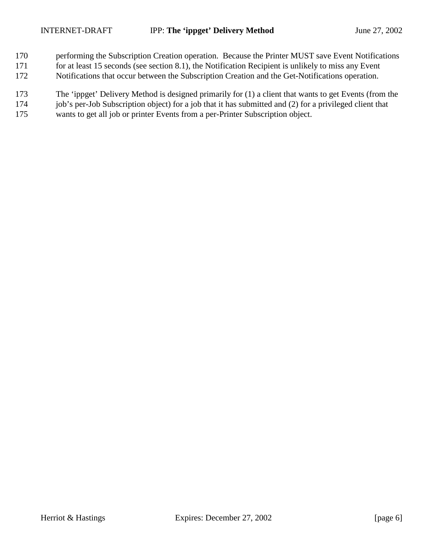- 170 performing the Subscription Creation operation. Because the Printer MUST save Event Notifications 171 for at least 15 seconds (see section [8.1\)](#page-16-0), the Notification Recipient is unlikely to miss any Event
- 172 Notifications that occur between the Subscription Creation and the Get-Notifications operation.
- 173 The 'ippget' Delivery Method is designed primarily for (1) a client that wants to get Events (from the
- 174 job's per-Job Subscription object) for a job that it has submitted and (2) for a privileged client that
- 175 wants to get all job or printer Events from a per-Printer Subscription object.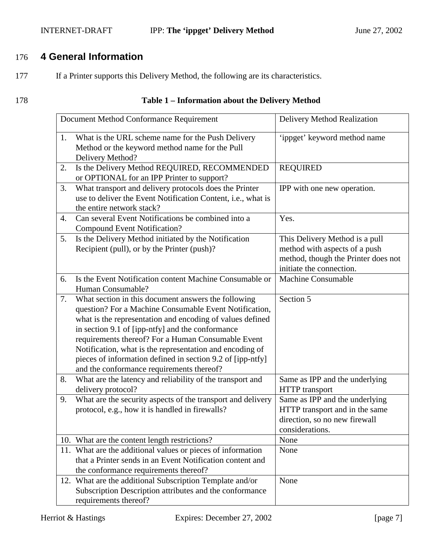## <span id="page-6-0"></span>INTERNET-DRAFT **IPP:** The 'ippget' Delivery Method June 27, 2002

# 176 **4 General Information**

177 If a Printer supports this Delivery Method, the following are its characteristics.

## 178 **Table 1 – Information about the Delivery Method**

|    | Document Method Conformance Requirement                                                                                                                                                                                                                                                                                                                                                                                                                     | Delivery Method Realization                                                                                                        |
|----|-------------------------------------------------------------------------------------------------------------------------------------------------------------------------------------------------------------------------------------------------------------------------------------------------------------------------------------------------------------------------------------------------------------------------------------------------------------|------------------------------------------------------------------------------------------------------------------------------------|
| 1. | What is the URL scheme name for the Push Delivery<br>Method or the keyword method name for the Pull<br>Delivery Method?                                                                                                                                                                                                                                                                                                                                     | 'ippget' keyword method name                                                                                                       |
| 2. | Is the Delivery Method REQUIRED, RECOMMENDED<br>or OPTIONAL for an IPP Printer to support?                                                                                                                                                                                                                                                                                                                                                                  | <b>REQUIRED</b>                                                                                                                    |
| 3. | What transport and delivery protocols does the Printer<br>use to deliver the Event Notification Content, i.e., what is<br>the entire network stack?                                                                                                                                                                                                                                                                                                         | IPP with one new operation.                                                                                                        |
| 4. | Can several Event Notifications be combined into a<br><b>Compound Event Notification?</b>                                                                                                                                                                                                                                                                                                                                                                   | Yes.                                                                                                                               |
| 5. | Is the Delivery Method initiated by the Notification<br>Recipient (pull), or by the Printer (push)?                                                                                                                                                                                                                                                                                                                                                         | This Delivery Method is a pull<br>method with aspects of a push<br>method, though the Printer does not<br>initiate the connection. |
| 6. | Is the Event Notification content Machine Consumable or<br>Human Consumable?                                                                                                                                                                                                                                                                                                                                                                                | <b>Machine Consumable</b>                                                                                                          |
| 7. | What section in this document answers the following<br>question? For a Machine Consumable Event Notification,<br>what is the representation and encoding of values defined<br>in section 9.1 of [ipp-ntfy] and the conformance<br>requirements thereof? For a Human Consumable Event<br>Notification, what is the representation and encoding of<br>pieces of information defined in section 9.2 of [ipp-ntfy]<br>and the conformance requirements thereof? | Section 5                                                                                                                          |
| 8. | What are the latency and reliability of the transport and<br>delivery protocol?                                                                                                                                                                                                                                                                                                                                                                             | Same as IPP and the underlying<br><b>HTTP</b> transport                                                                            |
| 9. | What are the security aspects of the transport and delivery<br>protocol, e.g., how it is handled in firewalls?                                                                                                                                                                                                                                                                                                                                              | Same as IPP and the underlying<br>HTTP transport and in the same<br>direction, so no new firewall<br>considerations.               |
|    | 10. What are the content length restrictions?                                                                                                                                                                                                                                                                                                                                                                                                               | None                                                                                                                               |
|    | 11. What are the additional values or pieces of information<br>that a Printer sends in an Event Notification content and<br>the conformance requirements thereof?                                                                                                                                                                                                                                                                                           | None                                                                                                                               |
|    | 12. What are the additional Subscription Template and/or<br>Subscription Description attributes and the conformance<br>requirements thereof?                                                                                                                                                                                                                                                                                                                | None                                                                                                                               |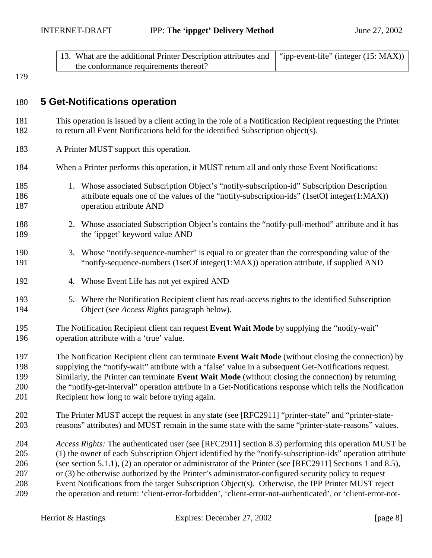<span id="page-7-0"></span>

| 13. What are the additional Printer Description attributes and $\mid$ "ipp-event-life" (integer (15: MAX)) |  |
|------------------------------------------------------------------------------------------------------------|--|
| the conformance requirements thereof?                                                                      |  |

## 180 **5 Get-Notifications operation**

- 181 This operation is issued by a client acting in the role of a Notification Recipient requesting the Printer 182 to return all Event Notifications held for the identified Subscription object(s).
- 183 A Printer MUST support this operation.
- 184 When a Printer performs this operation, it MUST return all and only those Event Notifications:
- 185 1. Whose associated Subscription Object's "notify-subscription-id" Subscription Description 186 attribute equals one of the values of the "notify-subscription-ids" (1setOf integer(1:MAX)) 187 operation attribute AND
- 188 2. Whose associated Subscription Object's contains the "notify-pull-method" attribute and it has 189 the 'ippget' keyword value AND
- 190 3. Whose "notify-sequence-number" is equal to or greater than the corresponding value of the 191 "notify-sequence-numbers (1setOf integer(1:MAX)) operation attribute, if supplied AND
- 192 4. Whose Event Life has not yet expired AND
- 193 5. Where the Notification Recipient client has read-access rights to the identified Subscription 194 Object (see *Access Rights* paragraph below).
- 195 The Notification Recipient client can request **Event Wait Mode** by supplying the "notify-wait" 196 operation attribute with a 'true' value.
- 197 The Notification Recipient client can terminate **Event Wait Mode** (without closing the connection) by 198 supplying the "notify-wait" attribute with a 'false' value in a subsequent Get-Notifications request. 199 Similarly, the Printer can terminate **Event Wait Mode** (without closing the connection) by returning 200 the "notify-get-interval" operation attribute in a Get-Notifications response which tells the Notification 201 Recipient how long to wait before trying again.
- 202 The Printer MUST accept the request in any state (see [RFC2911] "printer-state" and "printer-state-203 reasons" attributes) and MUST remain in the same state with the same "printer-state-reasons" values.
- 204 *Access Rights:* The authenticated user (see [RFC2911] section 8.3) performing this operation MUST be 205 (1) the owner of each Subscription Object identified by the "notify-subscription-ids" operation attribute 206 (see section [5.1.1\)](#page-8-0), (2) an operator or administrator of the Printer (see [RFC2911] Sections 1 and 8.5), 207 or (3) be otherwise authorized by the Printer's administrator-configured security policy to request 208 Event Notifications from the target Subscription Object(s). Otherwise, the IPP Printer MUST reject 209 the operation and return: 'client-error-forbidden', 'client-error-not-authenticated', or 'client-error-not-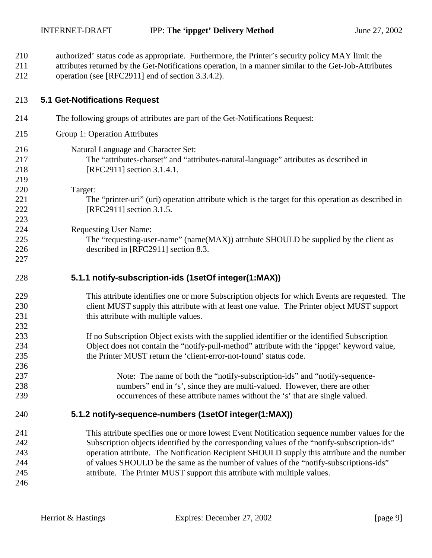- <span id="page-8-0"></span>210 authorized' status code as appropriate. Furthermore, the Printer's security policy MAY limit the
- 211 attributes returned by the Get-Notifications operation, in a manner similar to the Get-Job-Attributes 212 operation (see [RFC2911] end of section 3.3.4.2).
- 

## 213 **5.1 Get-Notifications Request**

- 214 The following groups of attributes are part of the Get-Notifications Request:
- 215 Group 1: Operation Attributes
- 216 Natural Language and Character Set:
- 217 The "attributes-charset" and "attributes-natural-language" attributes as described in 218 [RFC2911] section 3.1.4.1.
- 219 220 Target:

223

227

236

- 221 The "printer-uri" (uri) operation attribute which is the target for this operation as described in 222 [RFC2911] section 3.1.5.
- 224 Requesting User Name:
- 225 The "requesting-user-name" (name(MAX)) attribute SHOULD be supplied by the client as 226 described in [RFC2911] section 8.3.
- 228 **5.1.1 notify-subscription-ids (1setOf integer(1:MAX))**
- 229 This attribute identifies one or more Subscription objects for which Events are requested. The 230 client MUST supply this attribute with at least one value. The Printer object MUST support 231 this attribute with multiple values. 232
- 233 If no Subscription Object exists with the supplied identifier or the identified Subscription 234 Object does not contain the "notify-pull-method" attribute with the 'ippget' keyword value, 235 the Printer MUST return the 'client-error-not-found' status code.
- 237 Note: The name of both the "notify-subscription-ids" and "notify-sequence-238 numbers" end in 's', since they are multi-valued. However, there are other 239 occurrences of these attribute names without the 's' that are single valued.

## 240 **5.1.2 notify-sequence-numbers (1setOf integer(1:MAX))**

241 This attribute specifies one or more lowest Event Notification sequence number values for the 242 Subscription objects identified by the corresponding values of the "notify-subscription-ids" 243 operation attribute. The Notification Recipient SHOULD supply this attribute and the number 244 of values SHOULD be the same as the number of values of the "notify-subscriptions-ids" 245 attribute. The Printer MUST support this attribute with multiple values.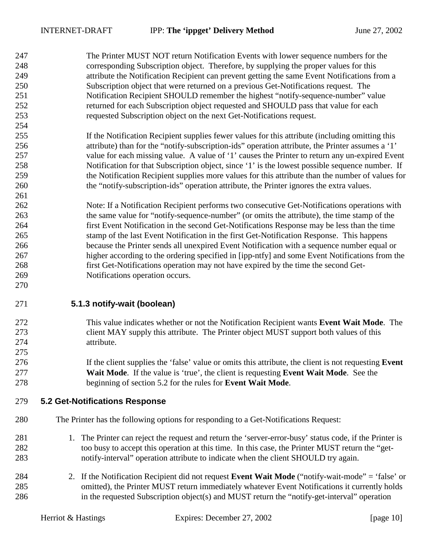261

270

275

<span id="page-9-0"></span>247 The Printer MUST NOT return Notification Events with lower sequence numbers for the 248 corresponding Subscription object. Therefore, by supplying the proper values for this 249 attribute the Notification Recipient can prevent getting the same Event Notifications from a 250 Subscription object that were returned on a previous Get-Notifications request. The 251 Notification Recipient SHOULD remember the highest "notify-sequence-number" value 252 returned for each Subscription object requested and SHOULD pass that value for each 253 requested Subscription object on the next Get-Notifications request.

- 255 If the Notification Recipient supplies fewer values for this attribute (including omitting this 256 attribute) than for the "notify-subscription-ids" operation attribute, the Printer assumes a '1' 257 value for each missing value. A value of '1' causes the Printer to return any un-expired Event 258 Notification for that Subscription object, since '1' is the lowest possible sequence number. If 259 the Notification Recipient supplies more values for this attribute than the number of values for 260 the "notify-subscription-ids" operation attribute, the Printer ignores the extra values.
- 262 Note: If a Notification Recipient performs two consecutive Get-Notifications operations with 263 the same value for "notify-sequence-number" (or omits the attribute), the time stamp of the 264 first Event Notification in the second Get-Notifications Response may be less than the time 265 stamp of the last Event Notification in the first Get-Notification Response. This happens 266 because the Printer sends all unexpired Event Notification with a sequence number equal or 267 higher according to the ordering specified in [ipp-ntfy] and some Event Notifications from the 268 first Get-Notifications operation may not have expired by the time the second Get-269 Notifications operation occurs.
- 271 **5.1.3 notify-wait (boolean)**
- 272 This value indicates whether or not the Notification Recipient wants **Event Wait Mode**. The 273 client MAY supply this attribute. The Printer object MUST support both values of this 274 attribute.
- 276 If the client supplies the 'false' value or omits this attribute, the client is not requesting **Event**  277 **Wait Mode**. If the value is 'true', the client is requesting **Event Wait Mode**. See the 278 beginning of section 5.2 for the rules for **Event Wait Mode**.

## 279 **5.2 Get-Notifications Response**

- 280 The Printer has the following options for responding to a Get-Notifications Request:
- 281 1. The Printer can reject the request and return the 'server-error-busy' status code, if the Printer is 282 too busy to accept this operation at this time. In this case, the Printer MUST return the "get-283 notify-interval" operation attribute to indicate when the client SHOULD try again.
- 284 2. If the Notification Recipient did not request **Event Wait Mode** ("notify-wait-mode" = 'false' or 285 omitted), the Printer MUST return immediately whatever Event Notifications it currently holds 286 in the requested Subscription object(s) and MUST return the "notify-get-interval" operation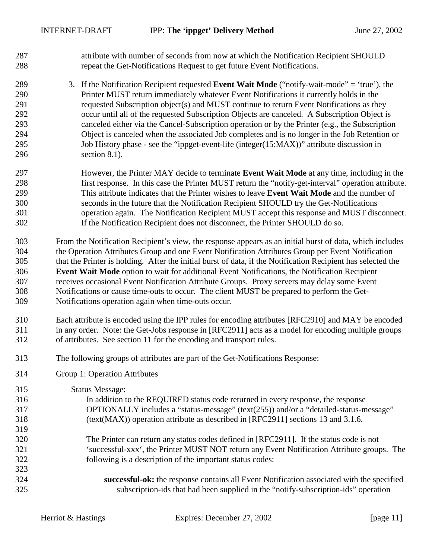- 287 attribute with number of seconds from now at which the Notification Recipient SHOULD 288 repeat the Get-Notifications Request to get future Event Notifications.
- 289 3. If the Notification Recipient requested **Event Wait Mode** ("notify-wait-mode" = 'true'), the 290 Printer MUST return immediately whatever Event Notifications it currently holds in the 291 requested Subscription object(s) and MUST continue to return Event Notifications as they 292 occur until all of the requested Subscription Objects are canceled. A Subscription Object is 293 canceled either via the Cancel-Subscription operation or by the Printer (e.g., the Subscription 294 Object is canceled when the associated Job completes and is no longer in the Job Retention or 295 Job History phase - see the "[ippget-event-life \(integer\(15:MAX\)\)"](#page-16-0) attribute discussion in 296 section [8.1\)](#page-16-0).
- 297 However, the Printer MAY decide to terminate **Event Wait Mode** at any time, including in the 298 first response. In this case the Printer MUST return the "notify-get-interval" operation attribute. 299 This attribute indicates that the Printer wishes to leave **Event Wait Mode** and the number of 300 seconds in the future that the Notification Recipient SHOULD try the Get-Notifications 301 operation again. The Notification Recipient MUST accept this response and MUST disconnect. 302 If the Notification Recipient does not disconnect, the Printer SHOULD do so.
- 303 From the Notification Recipient's view, the response appears as an initial burst of data, which includes 304 the Operation Attributes Group and one Event Notification Attributes Group per Event Notification 305 that the Printer is holding. After the initial burst of data, if the Notification Recipient has selected the 306 **Event Wait Mode** option to wait for additional Event Notifications, the Notification Recipient 307 receives occasional Event Notification Attribute Groups. Proxy servers may delay some Event 308 Notifications or cause time-outs to occur. The client MUST be prepared to perform the Get-309 Notifications operation again when time-outs occur.
- 310 Each attribute is encoded using the IPP rules for encoding attributes [RFC2910] and MAY be encoded 311 in any order. Note: the Get-Jobs response in [RFC2911] acts as a model for encoding multiple groups 312 of attributes. See section [11](#page-18-0) for the encoding and transport rules.
- 313 The following groups of attributes are part of the Get-Notifications Response:
- 314 Group 1: Operation Attributes

315 Status Message: 316 In addition to the REQUIRED status code returned in every response, the response 317 OPTIONALLY includes a "status-message" (text(255)) and/or a "detailed-status-message" 318 (text(MAX)) operation attribute as described in [RFC2911] sections 13 and 3.1.6. 319 320 The Printer can return any status codes defined in [RFC2911]. If the status code is not 321 'successful-xxx', the Printer MUST NOT return any Event Notification Attribute groups. The 322 following is a description of the important status codes: 323 324 **successful-ok:** the response contains all Event Notification associated with the specified 325 subscription-ids that had been supplied in the "notify-subscription-ids" operation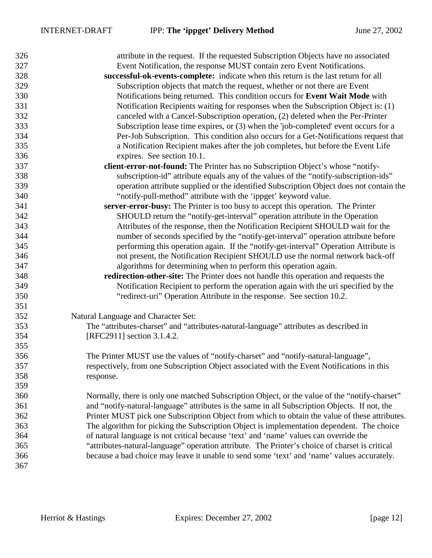| 326 | attribute in the request. If the requested Subscription Objects have no associated             |
|-----|------------------------------------------------------------------------------------------------|
| 327 | Event Notification, the response MUST contain zero Event Notifications.                        |
| 328 | successful-ok-events-complete: indicate when this return is the last return for all            |
| 329 | Subscription objects that match the request, whether or not there are Event                    |
| 330 | Notifications being returned. This condition occurs for Event Wait Mode with                   |
| 331 | Notification Recipients waiting for responses when the Subscription Object is: (1)             |
| 332 | canceled with a Cancel-Subscription operation, (2) deleted when the Per-Printer                |
| 333 | Subscription lease time expires, or (3) when the 'job-completed' event occurs for a            |
| 334 | Per-Job Subscription. This condition also occurs for a Get-Notifications request that          |
| 335 | a Notification Recipient makes after the job completes, but before the Event Life              |
| 336 | expires. See section 10.1.                                                                     |
| 337 | client-error-not-found: The Printer has no Subscription Object's whose "notify-                |
| 338 | subscription-id" attribute equals any of the values of the "notify-subscription-ids"           |
| 339 | operation attribute supplied or the identified Subscription Object does not contain the        |
| 340 | "notify-pull-method" attribute with the 'ippget' keyword value.                                |
| 341 | server-error-busy: The Printer is too busy to accept this operation. The Printer               |
| 342 | SHOULD return the "notify-get-interval" operation attribute in the Operation                   |
| 343 | Attributes of the response, then the Notification Recipient SHOULD wait for the                |
| 344 | number of seconds specified by the "notify-get-interval" operation attribute before            |
| 345 | performing this operation again. If the "notify-get-interval" Operation Attribute is           |
| 346 | not present, the Notification Recipient SHOULD use the normal network back-off                 |
| 347 | algorithms for determining when to perform this operation again.                               |
| 348 | redirection-other-site: The Printer does not handle this operation and requests the            |
| 349 | Notification Recipient to perform the operation again with the uri specified by the            |
| 350 | "redirect-uri" Operation Attribute in the response. See section 10.2.                          |
| 351 |                                                                                                |
| 352 | Natural Language and Character Set:                                                            |
| 353 | The "attributes-charset" and "attributes-natural-language" attributes as described in          |
| 354 | [RFC2911] section 3.1.4.2.                                                                     |
| 355 |                                                                                                |
| 356 | The Printer MUST use the values of "notify-charset" and "notify-natural-language",             |
| 357 | respectively, from one Subscription Object associated with the Event Notifications in this     |
| 358 | response.                                                                                      |
| 359 |                                                                                                |
| 360 | Normally, there is only one matched Subscription Object, or the value of the "notify-charset"  |
| 361 | and "notify-natural-language" attributes is the same in all Subscription Objects. If not, the  |
| 362 | Printer MUST pick one Subscription Object from which to obtain the value of these attributes.  |
| 363 | The algorithm for picking the Subscription Object is implementation dependent. The choice      |
| 364 | of natural language is not critical because 'text' and 'name' values can override the          |
| 365 | "attributes-natural-language" operation attribute. The Printer's choice of charset is critical |
| 366 | because a bad choice may leave it unable to send some 'text' and 'name' values accurately.     |
| 367 |                                                                                                |
|     |                                                                                                |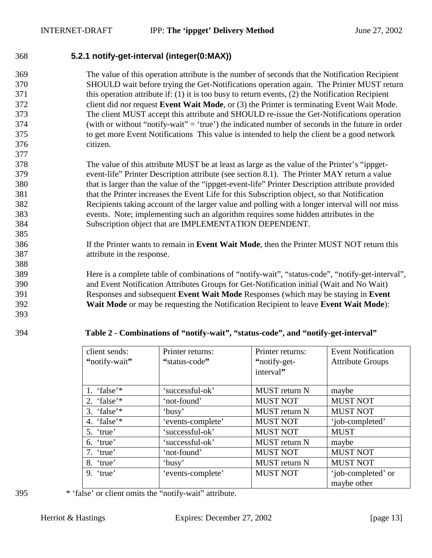<span id="page-12-0"></span>368 **5.2.1 notify-get-interval (integer(0:MAX))** 

369 The value of this operation attribute is the number of seconds that the Notification Recipient 370 SHOULD wait before trying the Get-Notifications operation again. The Printer MUST return 371 this operation attribute if: (1) it is too busy to return events, (2) the Notification Recipient 372 client did *not* request **Event Wait Mode**, or (3) the Printer is terminating Event Wait Mode. 373 The client MUST accept this attribute and SHOULD re-issue the Get-Notifications operation 374 (with or without "notify-wait" = 'true') the indicated number of seconds in the future in order 375 to get more Event Notifications This value is intended to help the client be a good network 376 citizen. 377

378 The value of this attribute MUST be at least as large as the value of the Printer's "ippget-379 event-life" Printer Description attribute (see section [8.1\)](#page-16-0). The Printer MAY return a value 380 that is larger than the value of the "ippget-event-life" Printer Description attribute provided 381 that the Printer increases the Event Life for this Subscription object, so that Notification 382 Recipients taking account of the larger value and polling with a longer interval will *not* miss 383 events. Note; implementing such an algorithm requires some hidden attributes in the 384 Subscription object that are IMPLEMENTATION DEPENDENT.

386 If the Printer wants to remain in **Event Wait Mode**, then the Printer MUST NOT return this 387 attribute in the response.

389 Here is a complete table of combinations of "notify-wait", "status-code", "notify-get-interval", 390 and Event Notification Attributes Groups for Get-Notification initial (Wait and No Wait) 391 Responses and subsequent **Event Wait Mode** Responses (which may be staying in **Event**  392 **Wait Mode** or may be requesting the Notification Recipient to leave **Event Wait Mode**):

393

385

388

394 **Table 2 - Combinations of "notify-wait", "status-code", and "notify-get-interval"** 

| client sends:  | Printer returns:  | Printer returns:     | <b>Event Notification</b> |
|----------------|-------------------|----------------------|---------------------------|
| "notify-wait"  | "status-code"     | "notify-get-         | <b>Attribute Groups</b>   |
|                |                   | interval"            |                           |
|                |                   |                      |                           |
| 1. 'false'*    | 'successful-ok'   | MUST return N        | maybe                     |
| 2. 'false'*    | 'not-found'       | <b>MUST NOT</b>      | <b>MUST NOT</b>           |
| 3. 'false'*    | 'busy'            | <b>MUST</b> return N | <b>MUST NOT</b>           |
| 'false'*<br>4. | 'events-complete' | <b>MUST NOT</b>      | 'job-completed'           |
| 5. 'true'      | 'successful-ok'   | <b>MUST NOT</b>      | <b>MUST</b>               |
| 'true'<br>6.   | 'successful-ok'   | MUST return N        | maybe                     |
| 7. 'true'      | 'not-found'       | <b>MUST NOT</b>      | <b>MUST NOT</b>           |
| 'true'<br>8.   | 'busy'            | MUST return N        | <b>MUST NOT</b>           |
| $9.$ 'true'    | 'events-complete' | <b>MUST NOT</b>      | 'job-completed' or        |
|                |                   |                      | maybe other               |

395 \* 'false' or client omits the "notify-wait" attribute.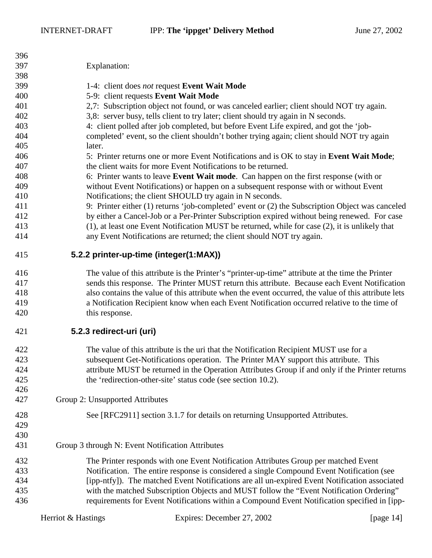<span id="page-13-0"></span>

| 396<br>397 | Explanation:                                     |                                                                                                     |              |
|------------|--------------------------------------------------|-----------------------------------------------------------------------------------------------------|--------------|
| 398        |                                                  |                                                                                                     |              |
| 399        |                                                  | 1-4: client does not request Event Wait Mode                                                        |              |
| 400        |                                                  | 5-9: client requests Event Wait Mode                                                                |              |
| 401        |                                                  | 2,7: Subscription object not found, or was canceled earlier; client should NOT try again.           |              |
| 402        |                                                  | 3,8: server busy, tells client to try later; client should try again in N seconds.                  |              |
| 403        |                                                  | 4: client polled after job completed, but before Event Life expired, and got the 'job-              |              |
| 404        |                                                  | completed' event, so the client shouldn't bother trying again; client should NOT try again          |              |
| 405        | later.                                           |                                                                                                     |              |
| 406        |                                                  | 5: Printer returns one or more Event Notifications and is OK to stay in Event Wait Mode;            |              |
| 407        |                                                  | the client waits for more Event Notifications to be returned.                                       |              |
| 408        |                                                  | 6: Printer wants to leave Event Wait mode. Can happen on the first response (with or                |              |
| 409        |                                                  | without Event Notifications) or happen on a subsequent response with or without Event               |              |
| 410        |                                                  | Notifications; the client SHOULD try again in N seconds.                                            |              |
| 411        |                                                  | 9: Printer either (1) returns 'job-completed' event or (2) the Subscription Object was canceled     |              |
| 412        |                                                  | by either a Cancel-Job or a Per-Printer Subscription expired without being renewed. For case        |              |
| 413        |                                                  | (1), at least one Event Notification MUST be returned, while for case (2), it is unlikely that      |              |
| 414        |                                                  | any Event Notifications are returned; the client should NOT try again.                              |              |
| 415        | 5.2.2 printer-up-time (integer(1:MAX))           |                                                                                                     |              |
| 416        |                                                  | The value of this attribute is the Printer's "printer-up-time" attribute at the time the Printer    |              |
| 417        |                                                  | sends this response. The Printer MUST return this attribute. Because each Event Notification        |              |
| 418        |                                                  | also contains the value of this attribute when the event occurred, the value of this attribute lets |              |
| 419        |                                                  | a Notification Recipient know when each Event Notification occurred relative to the time of         |              |
| 420        | this response.                                   |                                                                                                     |              |
| 421        | 5.2.3 redirect-uri (uri)                         |                                                                                                     |              |
| 422        |                                                  | The value of this attribute is the uri that the Notification Recipient MUST use for a               |              |
| 423        |                                                  | subsequent Get-Notifications operation. The Printer MAY support this attribute. This                |              |
| 424        |                                                  | attribute MUST be returned in the Operation Attributes Group if and only if the Printer returns     |              |
| 425        |                                                  | the 'redirection-other-site' status code (see section 10.2).                                        |              |
| 426        |                                                  |                                                                                                     |              |
| 427        | Group 2: Unsupported Attributes                  |                                                                                                     |              |
| 428        |                                                  |                                                                                                     |              |
| 429        |                                                  | See [RFC2911] section 3.1.7 for details on returning Unsupported Attributes.                        |              |
| 430        |                                                  |                                                                                                     |              |
| 431        |                                                  |                                                                                                     |              |
|            | Group 3 through N: Event Notification Attributes |                                                                                                     |              |
| 432        |                                                  | The Printer responds with one Event Notification Attributes Group per matched Event                 |              |
| 433        |                                                  | Notification. The entire response is considered a single Compound Event Notification (see           |              |
| 434        |                                                  | [ipp-ntfy]). The matched Event Notifications are all un-expired Event Notification associated       |              |
| 435        |                                                  | with the matched Subscription Objects and MUST follow the "Event Notification Ordering"             |              |
| 436        |                                                  | requirements for Event Notifications within a Compound Event Notification specified in [ipp-        |              |
|            | Herriot & Hastings                               | Expires: December 27, 2002                                                                          | [page $14$ ] |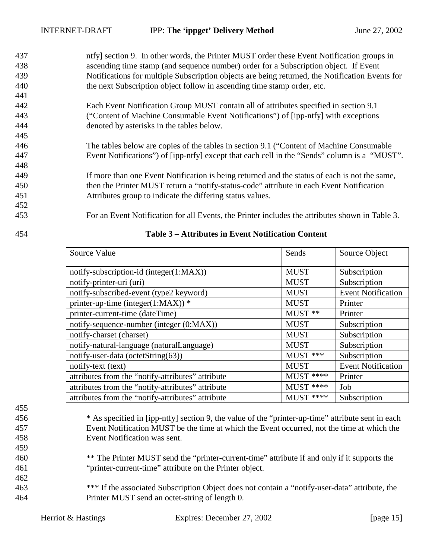- <span id="page-14-0"></span>437 ntfy] section 9. In other words, the Printer MUST order these Event Notification groups in 438 ascending time stamp (and sequence number) order for a Subscription object. If Event 439 Notifications for multiple Subscription objects are being returned, the Notification Events for 440 the next Subscription object follow in ascending time stamp order, etc. 441
- 442 Each Event Notification Group MUST contain all of attributes specified in section 9.1 443 ("Content of Machine Consumable Event Notifications") of [ipp-ntfy] with exceptions 444 denoted by asterisks in the tables below.
- 446 The tables below are copies of the tables in section 9.1 ("Content of Machine Consumable 447 Event Notifications") of [ipp-ntfy] except that each cell in the "Sends" column is a "MUST".
- 449 If more than one Event Notification is being returned and the status of each is not the same, 450 then the Printer MUST return a "notify-status-code" attribute in each Event Notification 451 Attributes group to indicate the differing status values.
- 453 For an Event Notification for all Events, the Printer includes the attributes shown in Table 3.

445

448

| Source Value                                      | Sends       | Source Object             |
|---------------------------------------------------|-------------|---------------------------|
| notify-subscription-id (integer(1:MAX))           | <b>MUST</b> | Subscription              |
| notify-printer-uri (uri)                          | <b>MUST</b> | Subscription              |
| notify-subscribed-event (type2 keyword)           | <b>MUST</b> | <b>Event Notification</b> |
| printer-up-time (integer(1:MAX)) $*$              | <b>MUST</b> | Printer                   |
| printer-current-time (dateTime)                   | MUST **     | Printer                   |
| notify-sequence-number (integer (0:MAX))          | <b>MUST</b> | Subscription              |
| notify-charset (charset)                          | <b>MUST</b> | Subscription              |
| notify-natural-language (naturalLanguage)         | <b>MUST</b> | Subscription              |
| notify-user-data (octetString(63))                | MUST ***    | Subscription              |
| notify-text (text)                                | <b>MUST</b> | <b>Event Notification</b> |
| attributes from the "notify-attributes" attribute | MUST ****   | Printer                   |
| attributes from the "notify-attributes" attribute | $MUST$ **** | Job                       |
| attributes from the "notify-attributes" attribute | MUST ****   | Subscription              |

## 454 **Table 3 – Attributes in Event Notification Content**

455

459

- 456 \* As specified in [ipp-ntfy] section 9, the value of the "printer-up-time" attribute sent in each 457 Event Notification MUST be the time at which the Event occurred, not the time at which the 458 Event Notification was sent.
- <sup>\*\*</sup> The Printer MUST send the "printer-current-time" attribute if and only if it supports the 461 "printer-current-time" attribute on the Printer object.
- 463 \*\*\* If the associated Subscription Object does not contain a "notify-user-data" attribute, the 464 Printer MUST send an octet-string of length 0.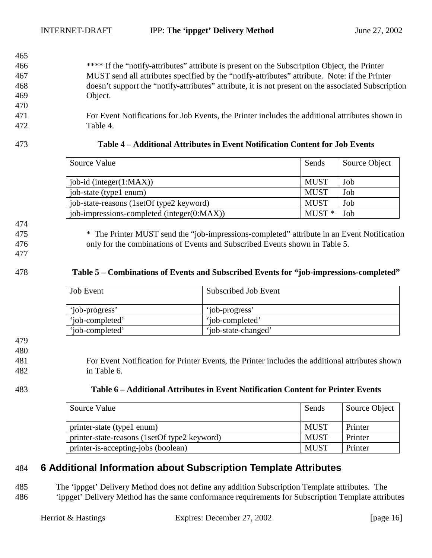- 466 \*\*\*\* If the "notify-attributes" attribute is present on the Subscription Object, the Printer 467 MUST send all attributes specified by the "notify-attributes" attribute. Note: if the Printer 468 doesn't support the "notify-attributes" attribute, it is not present on the associated Subscription 469 Object.
- 471 For Event Notifications for Job Events, the Printer includes the additional attributes shown in 472 Table 4.

<span id="page-15-0"></span>465

#### 473 **Table 4 – Additional Attributes in Event Notification Content for Job Events**

| Source Value                               | Sends       | Source Object |
|--------------------------------------------|-------------|---------------|
| $job-id$ (integer $(1:MAX)$ )              | <b>MUST</b> | Job           |
| job-state (type1 enum)                     | <b>MUST</b> | Job           |
| job-state-reasons (1setOf type2 keyword)   | <b>MUST</b> | Job           |
| job-impressions-completed (integer(0:MAX)) | $MUST*$     | Job           |

474

475 \* The Printer MUST send the "job-impressions-completed" attribute in an Event Notification 476 only for the combinations of Events and Subscribed Events shown in Table 5.

477

## 478 **Table 5 – Combinations of Events and Subscribed Events for "job-impressions-completed"**

| <b>Job</b> Event | Subscribed Job Event |
|------------------|----------------------|
| 'iob-progress'   | 'job-progress'       |
| 'iob-completed'  | 'iob-completed'      |
| 'iob-completed'  | 'job-state-changed'  |

479

480

481 For Event Notification for Printer Events, the Printer includes the additional attributes shown 482 in Table 6.

| 483 | Table 6 – Additional Attributes in Event Notification Content for Printer Events |
|-----|----------------------------------------------------------------------------------|
|-----|----------------------------------------------------------------------------------|

| Source Value                                 | Sends       | Source Object |
|----------------------------------------------|-------------|---------------|
| printer-state (type1 enum)                   | <b>MUST</b> | Printer       |
| printer-state-reasons (1setOf type2 keyword) | <b>MUST</b> | Printer       |
| printer-is-accepting-jobs (boolean)          | <b>MUST</b> | Printer       |

## 484 **6 Additional Information about Subscription Template Attributes**

485 The 'ippget' Delivery Method does not define any addition Subscription Template attributes. The 486 'ippget' Delivery Method has the same conformance requirements for Subscription Template attributes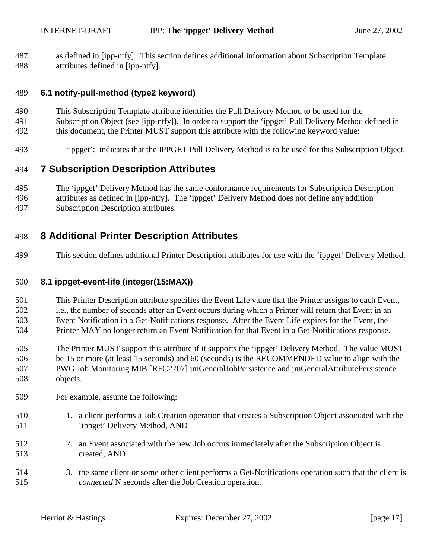<span id="page-16-0"></span>487 as defined in [ipp-ntfy]. This section defines additional information about Subscription Template 488 attributes defined in [ipp-ntfy].

#### 489 **6.1 notify-pull-method (type2 keyword)**

- 490 This Subscription Template attribute identifies the Pull Delivery Method to be used for the
- 491 Subscription Object (see [ipp-ntfy]). In order to support the 'ippget' Pull Delivery Method defined in
- 492 this document, the Printer MUST support this attribute with the following keyword value:
- 493 'ippget': indicates that the IPPGET Pull Delivery Method is to be used for this Subscription Object.

# 494 **7 Subscription Description Attributes**

495 The 'ippget' Delivery Method has the same conformance requirements for Subscription Description 496 attributes as defined in [ipp-ntfy]. The 'ippget' Delivery Method does not define any addition 497 Subscription Description attributes.

# 498 **8 Additional Printer Description Attributes**

499 This section defines additional Printer Description attributes for use with the 'ippget' Delivery Method.

## 500 **8.1 ippget-event-life (integer(15:MAX))**

501 This Printer Description attribute specifies the Event Life value that the Printer assigns to each Event, 502 i.e., the number of seconds after an Event occurs during which a Printer will return that Event in an 503 Event Notification in a Get-Notifications response. After the Event Life expires for the Event, the 504 Printer MAY no longer return an Event Notification for that Event in a Get-Notifications response.

- 505 The Printer MUST support this attribute if it supports the 'ippget' Delivery Method. The value MUST 506 be 15 or more (at least 15 seconds) and 60 (seconds) is the RECOMMENDED value to align with the 507 PWG Job Monitoring MIB [RFC2707] jmGeneralJobPersistence and jmGeneralAttributePersistence 508 objects.
- 509 For example, assume the following:
- 510 1. a client performs a Job Creation operation that creates a Subscription Object associated with the 511 'ippget' Delivery Method, AND
- 512 2. an Event associated with the new Job occurs immediately after the Subscription Object is 513 created, AND
- 514 3. the same client or some other client performs a Get-Notifications operation such that the client is 515 *connected* N seconds after the Job Creation operation.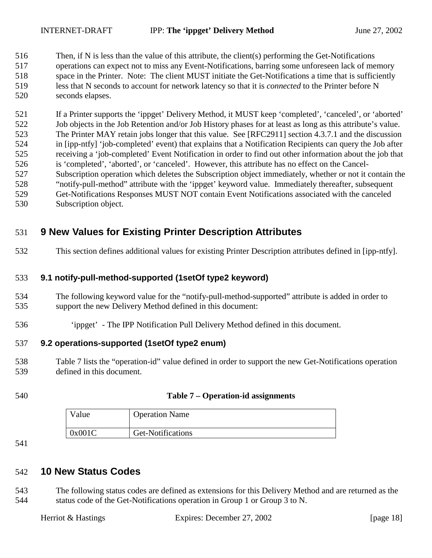<span id="page-17-0"></span>516 Then, if N is less than the value of this attribute, the client(s) performing the Get-Notifications 517 operations can expect not to miss any Event-Notifications, barring some unforeseen lack of memory 518 space in the Printer. Note: The client MUST initiate the Get-Notifications a time that is sufficiently 519 less that N seconds to account for network latency so that it is *connected* to the Printer before N 520 seconds elapses.

521 If a Printer supports the 'ippget' Delivery Method, it MUST keep 'completed', 'canceled', or 'aborted' 522 Job objects in the Job Retention and/or Job History phases for at least as long as this attribute's value. 523 The Printer MAY retain jobs longer that this value. See [RFC2911] section 4.3.7.1 and the discussion 524 in [ipp-ntfy] 'job-completed' event) that explains that a Notification Recipients can query the Job after 525 receiving a 'job-completed' Event Notification in order to find out other information about the job that 526 is 'completed', 'aborted', or 'canceled'. However, this attribute has no effect on the Cancel-527 Subscription operation which deletes the Subscription object immediately, whether or not it contain the 528 "notify-pull-method" attribute with the 'ippget' keyword value. Immediately thereafter, subsequent 529 Get-Notifications Responses MUST NOT contain Event Notifications associated with the canceled 530 Subscription object.

# 531 **9 New Values for Existing Printer Description Attributes**

532 This section defines additional values for existing Printer Description attributes defined in [ipp-ntfy].

## 533 **9.1 notify-pull-method-supported (1setOf type2 keyword)**

- 534 The following keyword value for the "notify-pull-method-supported" attribute is added in order to 535 support the new Delivery Method defined in this document:
- 536 'ippget' The IPP Notification Pull Delivery Method defined in this document.

## 537 **9.2 operations-supported (1setOf type2 enum)**

- 538 Table 7 lists the "operation-id" value defined in order to support the new Get-Notifications operation 539 defined in this document.
- 

## 540 **Table 7 – Operation-id assignments**

| √alue  | <b>Operation Name</b> |
|--------|-----------------------|
| 0x001C | Get-Notifications     |

541

## 542 **10 New Status Codes**

543 The following status codes are defined as extensions for this Delivery Method and are returned as the 544 status code of the Get-Notifications operation in Group 1 or Group 3 to N.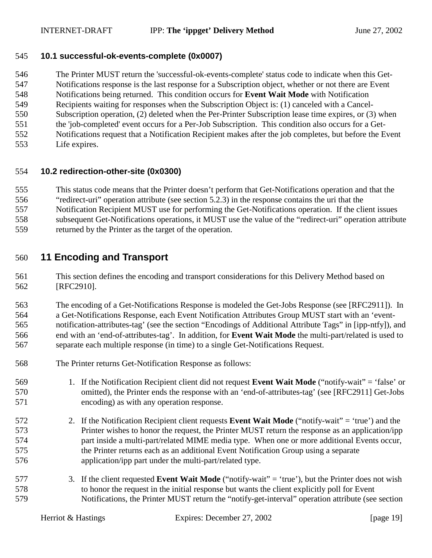#### <span id="page-18-0"></span>545 **10.1 successful-ok-events-complete (0x0007)**

546 The Printer MUST return the 'successful-ok-events-complete' status code to indicate when this Get-547 Notifications response is the last response for a Subscription object, whether or not there are Event 548 Notifications being returned. This condition occurs for **Event Wait Mode** with Notification 549 Recipients waiting for responses when the Subscription Object is: (1) canceled with a Cancel-550 Subscription operation, (2) deleted when the Per-Printer Subscription lease time expires, or (3) when 551 the 'job-completed' event occurs for a Per-Job Subscription. This condition also occurs for a Get-

- 552 Notifications request that a Notification Recipient makes after the job completes, but before the Event
- 553 Life expires.

## 554 **10.2 redirection-other-site (0x0300)**

555 This status code means that the Printer doesn't perform that Get-Notifications operation and that the

- 556 "redirect-uri" operation attribute (see section [5.2.3\)](#page-13-0) in the response contains the uri that the
- 557 Notification Recipient MUST use for performing the Get-Notifications operation. If the client issues
- 558 subsequent Get-Notifications operations, it MUST use the value of the "redirect-uri" operation attribute
- 559 returned by the Printer as the target of the operation.

## 560 **11 Encoding and Transport**

561 This section defines the encoding and transport considerations for this Delivery Method based on 562 [RFC2910].

563 The encoding of a Get-Notifications Response is modeled the Get-Jobs Response (see [RFC2911]). In 564 a Get-Notifications Response, each Event Notification Attributes Group MUST start with an 'event-565 notification-attributes-tag' (see the section "Encodings of Additional Attribute Tags" in [ipp-ntfy]), and 566 end with an 'end-of-attributes-tag'. In addition, for **Event Wait Mode** the multi-part/related is used to 567 separate each multiple response (in time) to a single Get-Notifications Request.

- 568 The Printer returns Get-Notification Response as follows:
- 569 1. If the Notification Recipient client did not request **Event Wait Mode** ("notify-wait" = 'false' or 570 omitted), the Printer ends the response with an 'end-of-attributes-tag' (see [RFC2911] Get-Jobs 571 encoding) as with any operation response.
- 572 2. If the Notification Recipient client requests **Event Wait Mode** ("notify-wait" = 'true') and the 573 Printer wishes to honor the request, the Printer MUST return the response as an application/ipp 574 part inside a multi-part/related MIME media type. When one or more additional Events occur, 575 the Printer returns each as an additional Event Notification Group using a separate 576 application/ipp part under the multi-part/related type.
- 577 3. If the client requested **Event Wait Mode** ("notify-wait" = 'true'), but the Printer does not wish 578 to honor the request in the initial response but wants the client explicitly poll for Event 579 Notifications, the Printer MUST return the "notify-get-interval" operation attribute (see section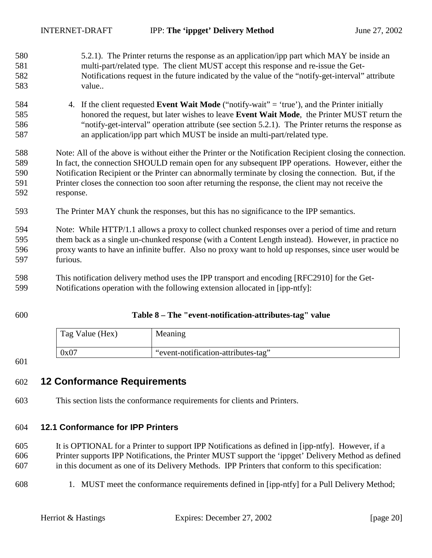<span id="page-19-0"></span>

| 580 | 5.2.1). The Printer returns the response as an application/ipp part which MAY be inside an                 |
|-----|------------------------------------------------------------------------------------------------------------|
| 581 | multi-part/related type. The client MUST accept this response and re-issue the Get-                        |
| 582 | Notifications request in the future indicated by the value of the "notify-get-interval" attribute          |
| 583 | value                                                                                                      |
| 584 | If the client requested Event Wait Mode ("notify-wait" = 'true'), and the Printer initially<br>4.          |
| 585 | honored the request, but later wishes to leave Event Wait Mode, the Printer MUST return the                |
| 586 | "notify-get-interval" operation attribute (see section 5.2.1). The Printer returns the response as         |
| 587 | an application/ipp part which MUST be inside an multi-part/related type.                                   |
| 588 | Note: All of the above is without either the Printer or the Notification Recipient closing the connection. |
| 589 | In fact, the connection SHOULD remain open for any subsequent IPP operations. However, either the          |
| 590 | Notification Recipient or the Printer can abnormally terminate by closing the connection. But, if the      |
| 591 | Printer closes the connection too soon after returning the response, the client may not receive the        |
| 592 | response.                                                                                                  |
| 593 | The Printer MAY chunk the responses, but this has no significance to the IPP semantics.                    |
| 594 | Note: While HTTP/1.1 allows a proxy to collect chunked responses over a period of time and return          |
| 595 | them back as a single un-chunked response (with a Content Length instead). However, in practice no         |
| 596 | proxy wants to have an infinite buffer. Also no proxy want to hold up responses, since user would be       |
| 597 | furious.                                                                                                   |
| 598 | This notification delivery method uses the IPP transport and encoding [RFC2910] for the Get-               |
| 500 | Notifications operation with the following extension ellocated in [inn ntfy].                              |

599 Notifications operation with the following extension allocated in [ipp-ntfy]:

## 600 **Table 8 – The "event-notification-attributes-tag" value**

| Tag Value (Hex) | Meaning                             |
|-----------------|-------------------------------------|
| 0x07            | "event-notification-attributes-tag" |

601

## 602 **12 Conformance Requirements**

603 This section lists the conformance requirements for clients and Printers.

## 604 **12.1 Conformance for IPP Printers**

- 605 It is OPTIONAL for a Printer to support IPP Notifications as defined in [ipp-ntfy]. However, if a 606 Printer supports IPP Notifications, the Printer MUST support the 'ippget' Delivery Method as defined 607 in this document as one of its Delivery Methods. IPP Printers that conform to this specification:
- 608 1. MUST meet the conformance requirements defined in [ipp-ntfy] for a Pull Delivery Method;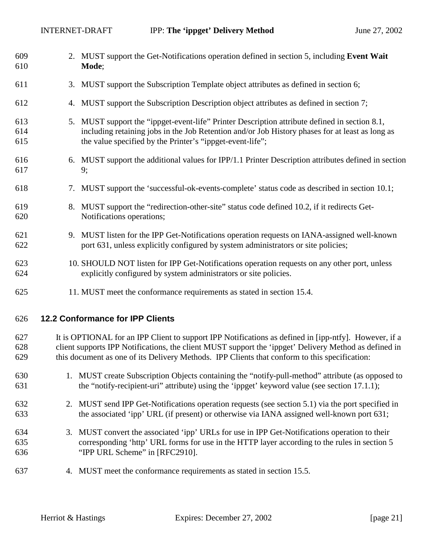<span id="page-20-0"></span>

| 609<br>610        |    | 2. MUST support the Get-Notifications operation defined in section 5, including Event Wait<br>Mode;                                                                                                                                                                                                             |
|-------------------|----|-----------------------------------------------------------------------------------------------------------------------------------------------------------------------------------------------------------------------------------------------------------------------------------------------------------------|
| 611               | 3. | MUST support the Subscription Template object attributes as defined in section 6;                                                                                                                                                                                                                               |
| 612               | 4. | MUST support the Subscription Description object attributes as defined in section 7;                                                                                                                                                                                                                            |
| 613<br>614<br>615 |    | 5. MUST support the "ippget-event-life" Printer Description attribute defined in section 8.1,<br>including retaining jobs in the Job Retention and/or Job History phases for at least as long as<br>the value specified by the Printer's "ippget-event-life";                                                   |
| 616<br>617        |    | 6. MUST support the additional values for IPP/1.1 Printer Description attributes defined in section<br>9;                                                                                                                                                                                                       |
| 618               |    | 7. MUST support the 'successful-ok-events-complete' status code as described in section 10.1;                                                                                                                                                                                                                   |
| 619<br>620        |    | 8. MUST support the "redirection-other-site" status code defined 10.2, if it redirects Get-<br>Notifications operations;                                                                                                                                                                                        |
| 621<br>622        |    | 9. MUST listen for the IPP Get-Notifications operation requests on IANA-assigned well-known<br>port 631, unless explicitly configured by system administrators or site policies;                                                                                                                                |
| 623<br>624        |    | 10. SHOULD NOT listen for IPP Get-Notifications operation requests on any other port, unless<br>explicitly configured by system administrators or site policies.                                                                                                                                                |
| 625               |    | 11. MUST meet the conformance requirements as stated in section 15.4.                                                                                                                                                                                                                                           |
| 626               |    | 12.2 Conformance for IPP Clients                                                                                                                                                                                                                                                                                |
| 627<br>628<br>629 |    | It is OPTIONAL for an IPP Client to support IPP Notifications as defined in [ipp-ntfy]. However, if a<br>client supports IPP Notifications, the client MUST support the 'ippget' Delivery Method as defined in<br>this document as one of its Delivery Methods. IPP Clients that conform to this specification: |
| 630<br>631        |    | 1. MUST create Subscription Objects containing the "notify-pull-method" attribute (as opposed to<br>the "notify-recipient-uri" attribute) using the 'ippget' keyword value (see section 17.1.1);                                                                                                                |

- 632 2. MUST send IPP Get-Notifications operation requests (see section [5.1\)](#page-8-0) via the port specified in 633 the associated 'ipp' URL (if present) or otherwise via IANA assigned well-known port 631;
- 634 3. MUST convert the associated 'ipp' URLs for use in IPP Get-Notifications operation to their 635 corresponding 'http' URL forms for use in the HTTP layer according to the rules in section 5 636 "IPP URL Scheme" in [RFC2910].
- 637 4. MUST meet the conformance requirements as stated in section [15.5.](#page-23-0)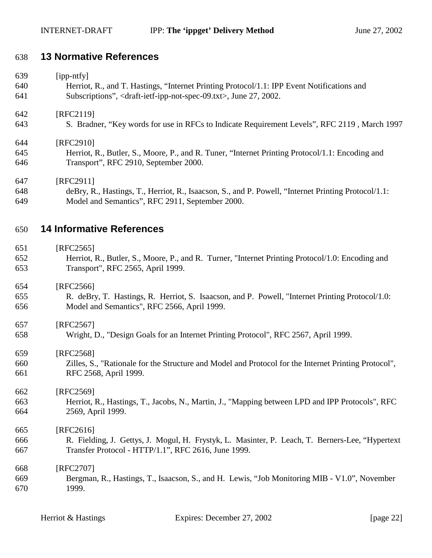## <span id="page-21-0"></span>638 **13 Normative References**

| 639 | $[$ ipp-ntfy $]$                                                                                  |
|-----|---------------------------------------------------------------------------------------------------|
| 640 | Herriot, R., and T. Hastings, "Internet Printing Protocol/1.1: IPP Event Notifications and        |
| 641 | Subscriptions", <draft-ietf-ipp-not-spec-09.txt>, June 27, 2002.</draft-ietf-ipp-not-spec-09.txt> |
| 642 | [RFC2119]                                                                                         |
| 643 | S. Bradner, "Key words for use in RFCs to Indicate Requirement Levels", RFC 2119, March 1997      |
| 644 | [RFC2910]                                                                                         |
| 645 | Herriot, R., Butler, S., Moore, P., and R. Tuner, "Internet Printing Protocol/1.1: Encoding and   |
| 646 | Transport", RFC 2910, September 2000.                                                             |
| 647 | [RFC2911]                                                                                         |

648 deBry, R., Hastings, T., Herriot, R., Isaacson, S., and P. Powell, "Internet Printing Protocol/1.1: 649 Model and Semantics", RFC 2911, September 2000.

## 650 **14 Informative References**

- 651 [RFC2565]
- 652 Herriot, R., Butler, S., Moore, P., and R. Turner, "Internet Printing Protocol/1.0: Encoding and 653 Transport", RFC 2565, April 1999.

## 654 [RFC2566]

655 R. deBry, T. Hastings, R. Herriot, S. Isaacson, and P. Powell, "Internet Printing Protocol/1.0: 656 Model and Semantics", RFC 2566, April 1999.

657 [RFC2567]

658 Wright, D., "Design Goals for an Internet Printing Protocol", RFC 2567, April 1999.

#### 659 [RFC2568]

660 Zilles, S., "Rationale for the Structure and Model and Protocol for the Internet Printing Protocol", 661 RFC 2568, April 1999.

# 662 [RFC2569]

663 Herriot, R., Hastings, T., Jacobs, N., Martin, J., "Mapping between LPD and IPP Protocols", RFC 664 2569, April 1999.

## 665 [RFC2616]

666 R. Fielding, J. Gettys, J. Mogul, H. Frystyk, L. Masinter, P. Leach, T. Berners-Lee, "Hypertext 667 Transfer Protocol - HTTP/1.1", RFC 2616, June 1999.

#### 668 [RFC2707] 669 Bergman, R., Hastings, T., Isaacson, S., and H. Lewis, "Job Monitoring MIB - V1.0", November 670 1999.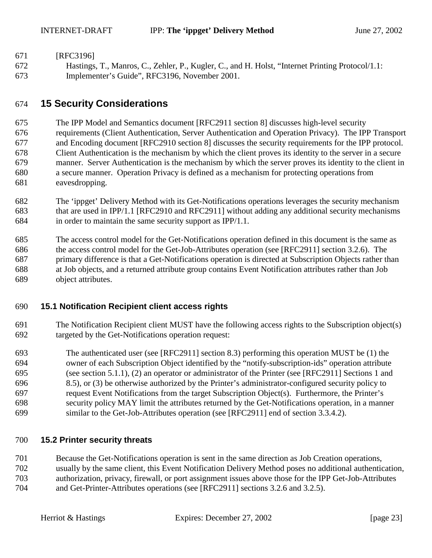- <span id="page-22-0"></span>671 [RFC3196]
- 672 Hastings, T., Manros, C., Zehler, P., Kugler, C., and H. Holst, "Internet Printing Protocol/1.1: 673 Implementer's Guide", RFC3196, November 2001.

# 674 **15 Security Considerations**

675 The IPP Model and Semantics document [RFC2911 section 8] discusses high-level security

676 requirements (Client Authentication, Server Authentication and Operation Privacy). The IPP Transport 677 and Encoding document [RFC2910 section 8] discusses the security requirements for the IPP protocol. 678 Client Authentication is the mechanism by which the client proves its identity to the server in a secure 679 manner. Server Authentication is the mechanism by which the server proves its identity to the client in 680 a secure manner. Operation Privacy is defined as a mechanism for protecting operations from 681 eavesdropping.

682 The 'ippget' Delivery Method with its Get-Notifications operations leverages the security mechanism 683 that are used in IPP/1.1 [RFC2910 and RFC2911] without adding any additional security mechanisms 684 in order to maintain the same security support as IPP/1.1.

685 The access control model for the Get-Notifications operation defined in this document is the same as 686 the access control model for the Get-Job-Attributes operation (see [RFC2911] section 3.2.6). The 687 primary difference is that a Get-Notifications operation is directed at Subscription Objects rather than 688 at Job objects, and a returned attribute group contains Event Notification attributes rather than Job 689 object attributes.

## 690 **15.1 Notification Recipient client access rights**

- 691 The Notification Recipient client MUST have the following access rights to the Subscription object(s) 692 targeted by the Get-Notifications operation request:
- 693 The authenticated user (see [RFC2911] section 8.3) performing this operation MUST be (1) the 694 owner of each Subscription Object identified by the "notify-subscription-ids" operation attribute 695 (see section [5.1.1\)](#page-8-0), (2) an operator or administrator of the Printer (see [RFC2911] Sections 1 and 696 8.5), or (3) be otherwise authorized by the Printer's administrator-configured security policy to 697 request Event Notifications from the target Subscription Object(s). Furthermore, the Printer's 698 security policy MAY limit the attributes returned by the Get-Notifications operation, in a manner 699 similar to the Get-Job-Attributes operation (see [RFC2911] end of section 3.3.4.2).

## 700 **15.2 Printer security threats**

701 Because the Get-Notifications operation is sent in the same direction as Job Creation operations,

- 702 usually by the same client, this Event Notification Delivery Method poses no additional authentication,
- 703 authorization, privacy, firewall, or port assignment issues above those for the IPP Get-Job-Attributes
- 704 and Get-Printer-Attributes operations (see [RFC2911] sections 3.2.6 and 3.2.5).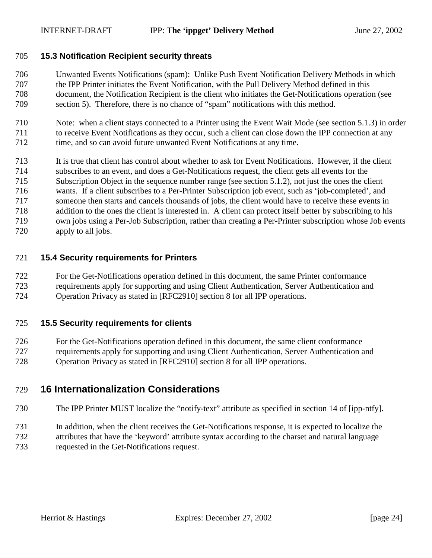#### <span id="page-23-0"></span>705 **15.3 Notification Recipient security threats**

- 706 Unwanted Events Notifications (spam): Unlike Push Event Notification Delivery Methods in which 707 the IPP Printer initiates the Event Notification, with the Pull Delivery Method defined in this 708 document, the Notification Recipient is the client who initiates the Get-Notifications operation (see 709 section [5\)](#page-7-0). Therefore, there is no chance of "spam" notifications with this method.
- 710 Note: when a client stays connected to a Printer using the Event Wait Mode (see section [5.1.3\)](#page-9-0) in order 711 to receive Event Notifications as they occur, such a client can close down the IPP connection at any 712 time, and so can avoid future unwanted Event Notifications at any time.
- 713 It is true that client has control about whether to ask for Event Notifications. However, if the client
- 714 subscribes to an event, and does a Get-Notifications request, the client gets all events for the
- 715 Subscription Object in the sequence number range (see section [5.1.2\)](#page-8-0), not just the ones the client
- 716 wants. If a client subscribes to a Per-Printer Subscription job event, such as 'job-completed', and
- 717 someone then starts and cancels thousands of jobs, the client would have to receive these events in 718 addition to the ones the client is interested in. A client can protect itself better by subscribing to his
- 719 own jobs using a Per-Job Subscription, rather than creating a Per-Printer subscription whose Job events
- 720 apply to all jobs.

## 721 **15.4 Security requirements for Printers**

- 722 For the Get-Notifications operation defined in this document, the same Printer conformance 723 requirements apply for supporting and using Client Authentication, Server Authentication and
- 724 Operation Privacy as stated in [RFC2910] section 8 for all IPP operations.

## 725 **15.5 Security requirements for clients**

- 726 For the Get-Notifications operation defined in this document, the same client conformance 727 requirements apply for supporting and using Client Authentication, Server Authentication and
- 728 Operation Privacy as stated in [RFC2910] section 8 for all IPP operations.

## 729 **16 Internationalization Considerations**

- 730 The IPP Printer MUST localize the "notify-text" attribute as specified in section 14 of [ipp-ntfy].
- 731 In addition, when the client receives the Get-Notifications response, it is expected to localize the 732 attributes that have the 'keyword' attribute syntax according to the charset and natural language
- 733 requested in the Get-Notifications request.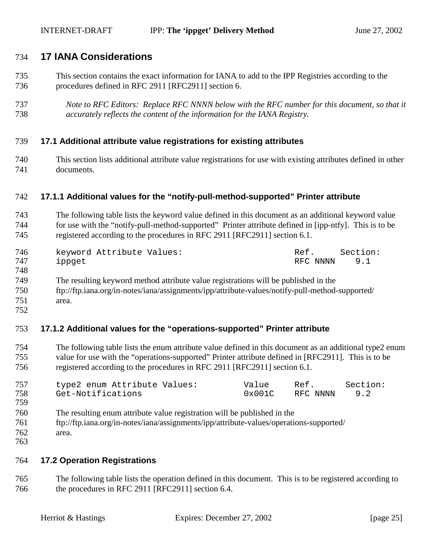## <span id="page-24-0"></span>734 **17 IANA Considerations**

- 735 This section contains the exact information for IANA to add to the IPP Registries according to the 736 procedures defined in RFC 2911 [RFC2911] section 6.
- 737 *Note to RFC Editors: Replace RFC NNNN below with the RFC number for this document, so that it*  738 *accurately reflects the content of the information for the IANA Registry.*

## 739 **17.1 Additional attribute value registrations for existing attributes**

740 This section lists additional attribute value registrations for use with existing attributes defined in other 741 documents.

#### 742 **17.1.1 Additional values for the "notify-pull-method-supported" Printer attribute**

743 The following table lists the keyword value defined in this document as an additional keyword value 744 for use with the "notify-pull-method-supported" Printer attribute defined in [ipp-ntfy]. This is to be 745 registered according to the procedures in RFC 2911 [RFC2911] section 6.1.

| 746 | keyword Attribute Values: | Ref.         | Section: |
|-----|---------------------------|--------------|----------|
| 747 | ippget                    | RFC NNNN 9.1 |          |
| 748 |                           |              |          |

- 749 The resulting keyword method attribute value registrations will be published in the
- 750 ftp://ftp.iana.org/in-notes/iana/assignments/ipp/attribute-values/notify-pull-method-supported/
- 751 area.
- 752

## 753 **17.1.2 Additional values for the "operations-supported" Printer attribute**

754 The following table lists the enum attribute value defined in this document as an additional type2 enum 755 value for use with the "operations-supported" Printer attribute defined in [RFC2911]. This is to be 756 registered according to the procedures in RFC 2911 [RFC2911] section 6.1.

| 757 | type2 enum Attribute Values: | Value  | Ref.     | Section: |
|-----|------------------------------|--------|----------|----------|
| 758 | Get-Notifications            | 0x001C | RFC NNNN | 9.2      |
| 759 |                              |        |          |          |

- 760 The resulting enum attribute value registration will be published in the
- 761 ftp://ftp.iana.org/in-notes/iana/assignments/ipp/attribute-values/operations-supported/
- 762 area.
- 763

#### 764 **17.2 Operation Registrations**

765 The following table lists the operation defined in this document. This is to be registered according to 766 the procedures in RFC 2911 [RFC2911] section 6.4.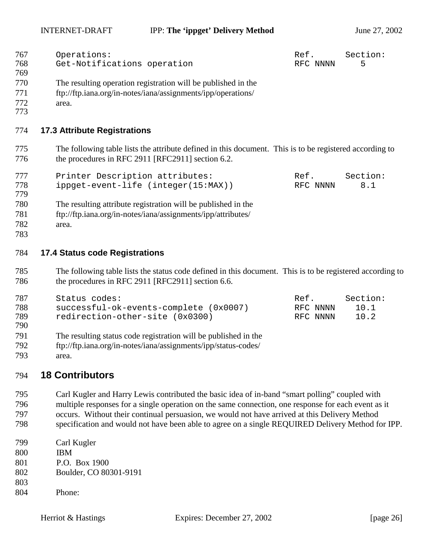INTERNET-DRAFT **IPP:** The 'ippget' Delivery Method June 27, 2002

<span id="page-25-0"></span>

| 767<br>768<br>769        | Operations:<br>Get-Notifications operation                                                                                                                     | Ref.<br>RFC NNNN             | Section:<br>5            |
|--------------------------|----------------------------------------------------------------------------------------------------------------------------------------------------------------|------------------------------|--------------------------|
| 770<br>771<br>772<br>773 | The resulting operation registration will be published in the<br>ftp://ftp.iana.org/in-notes/iana/assignments/ipp/operations/<br>area.                         |                              |                          |
| 774                      | <b>17.3 Attribute Registrations</b>                                                                                                                            |                              |                          |
| 775<br>776               | The following table lists the attribute defined in this document. This is to be registered according to<br>the procedures in RFC 2911 [RFC2911] section 6.2.   |                              |                          |
| 777<br>778<br>779        | Printer Description attributes:<br>ippget-event-life (integer(15:MAX))                                                                                         | Ref.<br>RFC NNNN             | Section:<br>8.1          |
| 780<br>781<br>782<br>783 | The resulting attribute registration will be published in the<br>ftp://ftp.iana.org/in-notes/iana/assignments/ipp/attributes/<br>area.                         |                              |                          |
| 784                      | <b>17.4 Status code Registrations</b>                                                                                                                          |                              |                          |
| 785<br>786               | The following table lists the status code defined in this document. This is to be registered according to<br>the procedures in RFC 2911 [RFC2911] section 6.6. |                              |                          |
| 787<br>788<br>789<br>790 | Status codes:<br>successful-ok-events-complete (0x0007)<br>redirection-other-site (0x0300)                                                                     | Ref.<br>RFC NNNN<br>RFC NNNN | Section:<br>10.1<br>10.2 |

- 791 The resulting status code registration will be published in the
- 792 ftp://ftp.iana.org/in-notes/iana/assignments/ipp/status-codes/
- 793 area.

## 794 **18 Contributors**

795 Carl Kugler and Harry Lewis contributed the basic idea of in-band "smart polling" coupled with 796 multiple responses for a single operation on the same connection, one response for each event as it 797 occurs. Without their continual persuasion, we would not have arrived at this Delivery Method

- 798 specification and would not have been able to agree on a single REQUIRED Delivery Method for IPP.
- 799 Carl Kugler
- 800 IBM
- 801 P.O. Box 1900
- 802 Boulder, CO 80301-9191
- 803
- 804 Phone: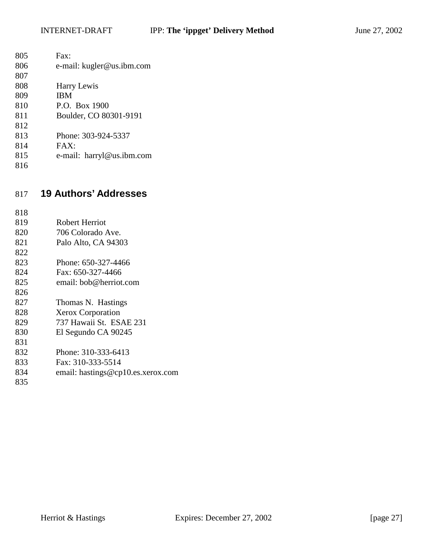<span id="page-26-0"></span>

| 805 | Fast:                        |
|-----|------------------------------|
| 806 | e-mail: kugler@us.ibm.com    |
| 807 |                              |
| 808 | Harry Lewis                  |
| 809 | <b>IBM</b>                   |
| 810 | P.O. Box 1900                |
| 811 | Boulder, CO 80301-9191       |
| 812 |                              |
| 813 | Phone: 303-924-5337          |
| 814 | FAX:                         |
| 815 | e-mail: harryl@us.ibm.com    |
| 816 |                              |
|     |                              |
|     |                              |
|     |                              |
| 817 | <b>19 Authors' Addresses</b> |
|     |                              |
| 818 |                              |
| 819 | <b>Robert Herriot</b>        |
| 820 | 706 Colorado Ave.            |
| 821 | Palo Alto, CA 94303          |
| 822 |                              |
| 823 | Phone: 650-327-4466          |
| 824 | Fax: 650-327-4466            |
| 825 | email: bob@herriot.com       |

827 Thomas N. Hastings

- 828 Xerox Corporation
- 829 737 Hawaii St. ESAE 231
- 830 El Segundo CA 90245
- 831 832 Phone: 310-333-6413
- 833 Fax: 310-333-5514
- 834 email: hastings@cp10.es.xerox.com
- 835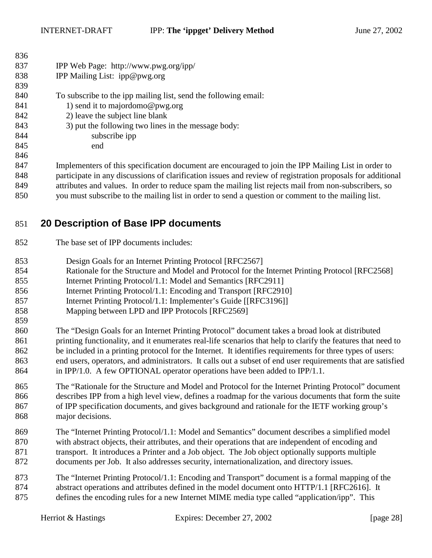<span id="page-27-0"></span>

| 836  |                                                                                                             |
|------|-------------------------------------------------------------------------------------------------------------|
| 837  | IPP Web Page: http://www.pwg.org/ipp/                                                                       |
| 838  | IPP Mailing List: ipp@pwg.org                                                                               |
| 839  |                                                                                                             |
| 840  | To subscribe to the ipp mailing list, send the following email:                                             |
| 841  | 1) send it to majordomo@pwg.org                                                                             |
| 842  | 2) leave the subject line blank                                                                             |
| 843  | 3) put the following two lines in the message body:                                                         |
| 844  | subscribe ipp                                                                                               |
| 845  | end                                                                                                         |
| 846  |                                                                                                             |
| 847  | Implementers of this specification document are encouraged to join the IPP Mailing List in order to         |
| 848  | participate in any discussions of clarification issues and review of registration proposals for additional  |
| 0.40 | attuikartaa and sialaan. Die onder to maksaa ongen tha mailing ligt naigata mail fuom non-osekaanikana oo o |

849 attributes and values. In order to reduce spam the mailing list rejects mail from non-subscribers, so 850 you must subscribe to the mailing list in order to send a question or comment to the mailing list.

# 851 **20 Description of Base IPP documents**

- 852 The base set of IPP documents includes:
- 853 Design Goals for an Internet Printing Protocol [RFC2567]
- 854 Rationale for the Structure and Model and Protocol for the Internet Printing Protocol [RFC2568]
- 855 Internet Printing Protocol/1.1: Model and Semantics [RFC2911]
- 856 Internet Printing Protocol/1.1: Encoding and Transport [RFC2910]
- 857 Internet Printing Protocol/1.1: Implementer's Guide [[RFC3196]]
- 858 Mapping between LPD and IPP Protocols [RFC2569]
- 860 The "Design Goals for an Internet Printing Protocol" document takes a broad look at distributed 861 printing functionality, and it enumerates real-life scenarios that help to clarify the features that need to 862 be included in a printing protocol for the Internet. It identifies requirements for three types of users: 863 end users, operators, and administrators. It calls out a subset of end user requirements that are satisfied 864 in IPP/1.0. A few OPTIONAL operator operations have been added to IPP/1.1.
- 865 The "Rationale for the Structure and Model and Protocol for the Internet Printing Protocol" document 866 describes IPP from a high level view, defines a roadmap for the various documents that form the suite 867 of IPP specification documents, and gives background and rationale for the IETF working group's 868 major decisions.
- 869 The "Internet Printing Protocol/1.1: Model and Semantics" document describes a simplified model 870 with abstract objects, their attributes, and their operations that are independent of encoding and 871 transport. It introduces a Printer and a Job object. The Job object optionally supports multiple 872 documents per Job. It also addresses security, internationalization, and directory issues.
- 873 The "Internet Printing Protocol/1.1: Encoding and Transport" document is a formal mapping of the 874 abstract operations and attributes defined in the model document onto HTTP/1.1 [RFC2616]. It 875 defines the encoding rules for a new Internet MIME media type called "application/ipp". This